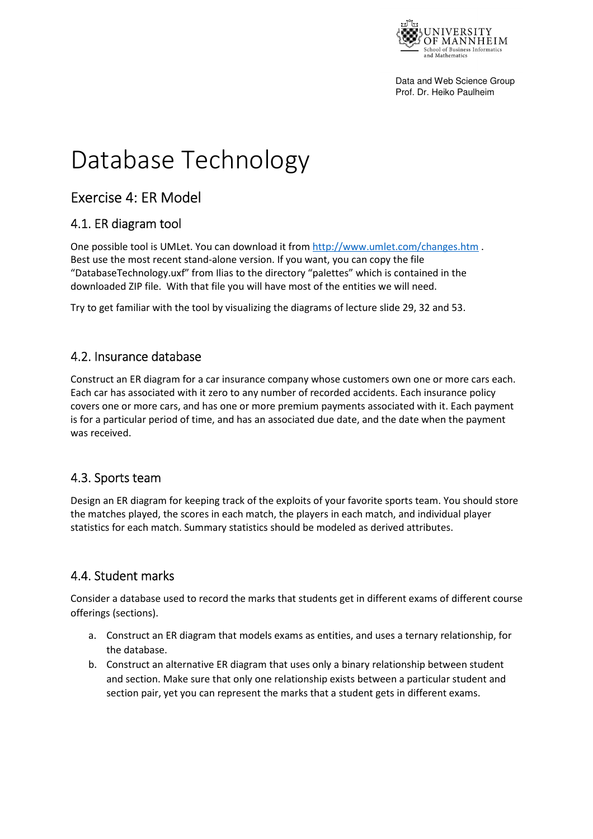

Data and Web Science Group Prof. Dr. Heiko Paulheim

# Database Technology

# Exercise 4: ER Model

#### 4.1. ER diagram tool

One possible tool is UMLet. You can download it from http://www.umlet.com/changes.htm. Best use the most recent stand-alone version. If you want, you can copy the file "DatabaseTechnology.uxf" from Ilias to the directory "palettes" which is contained in the downloaded ZIP file. With that file you will have most of the entities we will need.

Try to get familiar with the tool by visualizing the diagrams of lecture slide 29, 32 and 53.

#### 4.2. Insurance database

Construct an ER diagram for a car insurance company whose customers own one or more cars each. Each car has associated with it zero to any number of recorded accidents. Each insurance policy covers one or more cars, and has one or more premium payments associated with it. Each payment is for a particular period of time, and has an associated due date, and the date when the payment was received.

### 4.3. Sports team

Design an ER diagram for keeping track of the exploits of your favorite sports team. You should store the matches played, the scores in each match, the players in each match, and individual player statistics for each match. Summary statistics should be modeled as derived attributes.

### 4.4. Student marks

Consider a database used to record the marks that students get in different exams of different course offerings (sections).

- a. Construct an ER diagram that models exams as entities, and uses a ternary relationship, for the database.
- b. Construct an alternative ER diagram that uses only a binary relationship between student and section. Make sure that only one relationship exists between a particular student and section pair, yet you can represent the marks that a student gets in different exams.